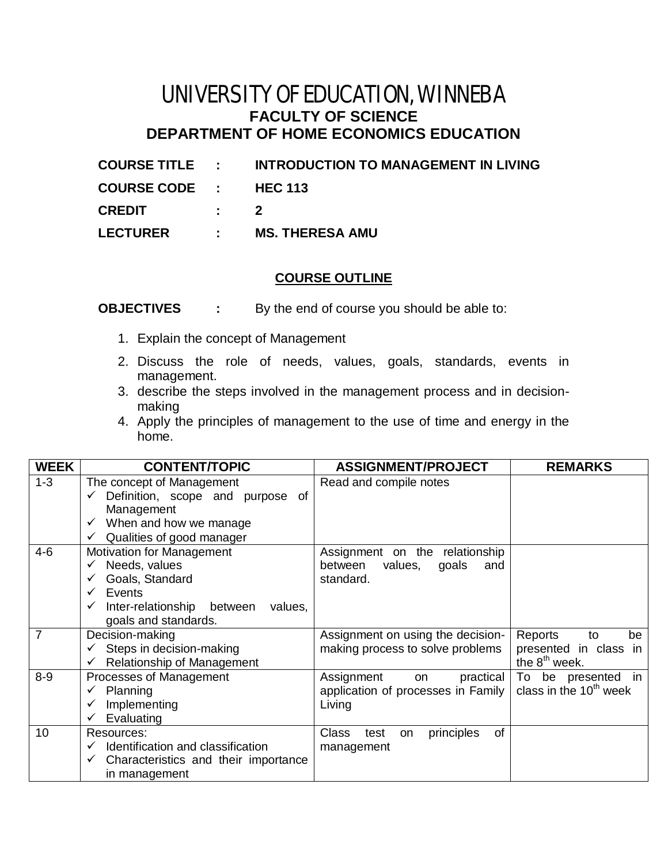## UNIVERSITY OF EDUCATION, WINNEBA **FACULTY OF SCIENCE DEPARTMENT OF HOME ECONOMICS EDUCATION**

| <b>COURSE TITLE :</b> |           | <b>INTRODUCTION TO MANAGEMENT IN LIVING</b> |
|-----------------------|-----------|---------------------------------------------|
| COURSE CODE : HEC 113 |           |                                             |
| <b>CREDIT</b>         | $\cdot$ 2 |                                             |
| <b>LECTURER</b>       |           | : MS. THERESA AMU                           |

## **COURSE OUTLINE**

**OBJECTIVES :** By the end of course you should be able to:

- 1. Explain the concept of Management
- 2. Discuss the role of needs, values, goals, standards, events in management.
- 3. describe the steps involved in the management process and in decisionmaking
- 4. Apply the principles of management to the use of time and energy in the home.

| <b>WEEK</b>    | <b>CONTENT/TOPIC</b>                                     | <b>ASSIGNMENT/PROJECT</b>                             | <b>REMARKS</b>            |
|----------------|----------------------------------------------------------|-------------------------------------------------------|---------------------------|
| $1 - 3$        | The concept of Management                                | Read and compile notes                                |                           |
|                | Definition, scope and purpose of                         |                                                       |                           |
|                | Management                                               |                                                       |                           |
|                | $\checkmark$ When and how we manage                      |                                                       |                           |
|                | Qualities of good manager<br>$\checkmark$                |                                                       |                           |
| $4 - 6$        | <b>Motivation for Management</b>                         | Assignment on the relationship                        |                           |
|                | Needs, values<br>✓                                       | between<br>values,<br>goals<br>and                    |                           |
|                | Goals, Standard                                          | standard.                                             |                           |
|                | Events<br>$\checkmark$                                   |                                                       |                           |
|                | Inter-relationship<br>between<br>values,<br>$\checkmark$ |                                                       |                           |
|                | goals and standards.                                     |                                                       |                           |
| $\overline{7}$ | Decision-making                                          | Assignment on using the decision-                     | Reports<br>to<br>be       |
|                | $\checkmark$ Steps in decision-making                    | making process to solve problems                      | presented in class in     |
|                | Relationship of Management<br>$\checkmark$               |                                                       | the 8 <sup>th</sup> week. |
| $8-9$          | Processes of Management                                  | Assignment<br>practical<br>on                         | To be presented in        |
|                | Planning                                                 | application of processes in Family                    | class in the $10th$ week  |
|                | Implementing                                             | Living                                                |                           |
|                | Evaluating<br>$\checkmark$                               |                                                       |                           |
| 10             | Resources:                                               | <b>Class</b><br>principles<br><b>of</b><br>test<br>on |                           |
|                | Identification and classification<br>$\checkmark$        | management                                            |                           |
|                | Characteristics and their importance<br>$\checkmark$     |                                                       |                           |
|                | in management                                            |                                                       |                           |